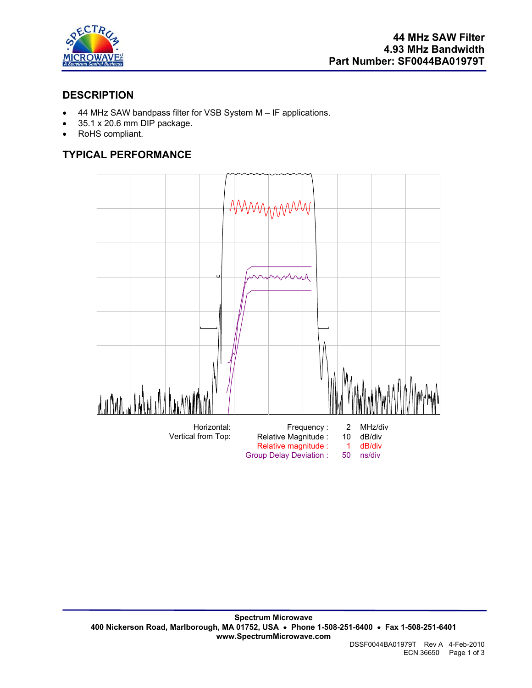

# **DESCRIPTION**

- 44 MHz SAW bandpass filter for VSB System M IF applications.
- 35.1 x 20.6 mm DIP package.
- RoHS compliant.

# **TYPICAL PERFORMANCE**

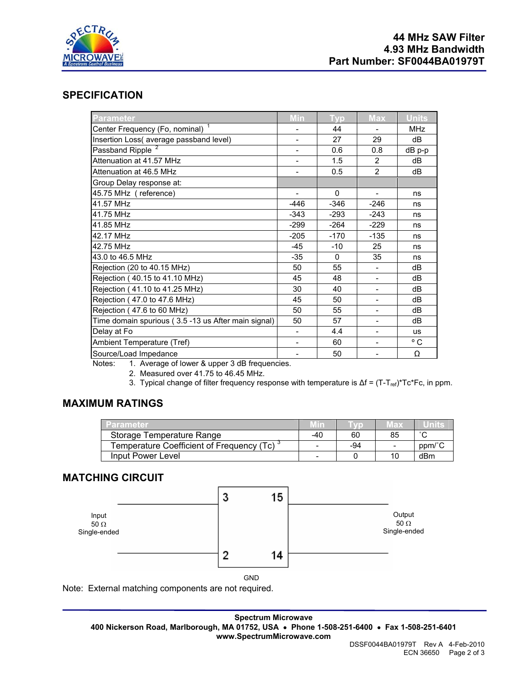

# **SPECIFICATION**

| <b>Parameter</b>                                    | Min                      | <b>Typ</b>   | <b>Max</b>               | <b>Units</b> |
|-----------------------------------------------------|--------------------------|--------------|--------------------------|--------------|
| Center Frequency (Fo, nominal) <sup>1</sup>         |                          | 44           |                          | <b>MHz</b>   |
| Insertion Loss( average passband level)             | $\overline{\phantom{a}}$ | 27           | 29                       | dB           |
| Passband Ripple <sup>2</sup>                        |                          | 0.6          | 0.8                      | dB p-p       |
| Attenuation at 41.57 MHz                            |                          | 1.5          | $\overline{2}$           | dB           |
| Attenuation at 46.5 MHz                             |                          | 0.5          | $\overline{2}$           | dB           |
| Group Delay response at:                            |                          |              |                          |              |
| 45.75 MHz (reference)                               | $\overline{\phantom{0}}$ | 0            |                          | ns           |
| 41.57 MHz                                           | $-446$                   | $-346$       | $-246$                   | ns           |
| 41.75 MHz                                           | $-343$                   | $-293$       | $-243$                   | ns           |
| 41.85 MHz                                           | $-299$                   | $-264$       | $-229$                   | ns           |
| 42.17 MHz                                           | $-205$                   | $-170$       | $-135$                   | ns           |
| 42.75 MHz                                           | $-45$                    | $-10$        | 25                       | ns           |
| 43.0 to 46.5 MHz                                    | $-35$                    | $\mathbf{0}$ | 35                       | ns           |
| Rejection (20 to 40.15 MHz)                         | 50                       | 55           |                          | dB           |
| Rejection (40.15 to 41.10 MHz)                      | 45                       | 48           |                          | dB           |
| Rejection (41.10 to 41.25 MHz)                      | 30                       | 40           | $\overline{\phantom{a}}$ | dB           |
| Rejection (47.0 to 47.6 MHz)                        | 45                       | 50           |                          | dB           |
| Rejection (47.6 to 60 MHz)                          | 50                       | 55           |                          | dB           |
| Time domain spurious (3.5 -13 us After main signal) | 50                       | 57           |                          | dB           |
| Delay at Fo                                         | $\overline{\phantom{0}}$ | 4.4          |                          | <b>us</b>    |
| Ambient Temperature (Tref)                          |                          | 60           |                          | ° C          |
| Source/Load Impedance<br>$\sim$ $\sim$ $\sim$       |                          | 50           |                          | Ω            |

Notes: 1. Average of lower & upper 3 dB frequencies.

2. Measured over 41.75 to 46.45 MHz.

3. Typical change of filter frequency response with temperature is Δf = (T-T<sub>ref</sub>)\*Tc\*Fc, in ppm.

## **MAXIMUM RATINGS**

| Parameter                                              |                          |     | мах                      | units  |
|--------------------------------------------------------|--------------------------|-----|--------------------------|--------|
| Storage Temperature Range                              | -40                      | 60  | 85                       | $\sim$ |
| Temperature Coefficient of Frequency (Tc) <sup>3</sup> | $\overline{\phantom{0}}$ | -94 | $\overline{\phantom{0}}$ | ppm/°C |
| Input Power Level                                      | -                        |     |                          | dBm    |

### **MATCHING CIRCUIT**



Note: External matching components are not required.